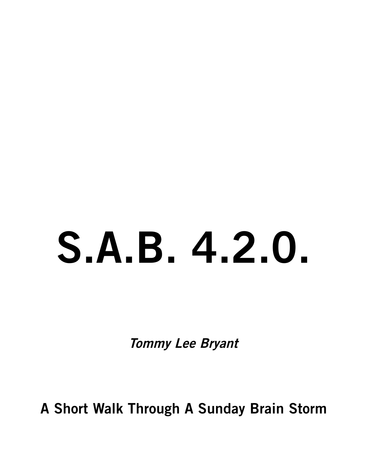# **S.A.B. 4.2.0.**

**Tommy Lee Bryant**

**A Short Walk Through A Sunday Brain Storm**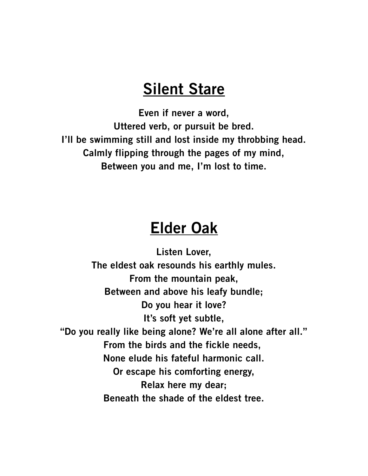#### **Silent Stare**

**Even if never a word, Uttered verb, or pursuit be bred. I'll be swimming still and lost inside my throbbing head. Calmly flipping through the pages of my mind, Between you and me, I'm lost to time.**

#### **Elder Oak**

**Listen Lover, The eldest oak resounds his earthly mules. From the mountain peak, Between and above his leafy bundle; Do you hear it love? It's soft yet subtle, "Do you really like being alone? We're all alone after all." From the birds and the fickle needs, None elude his fateful harmonic call. Or escape his comforting energy, Relax here my dear; Beneath the shade of the eldest tree.**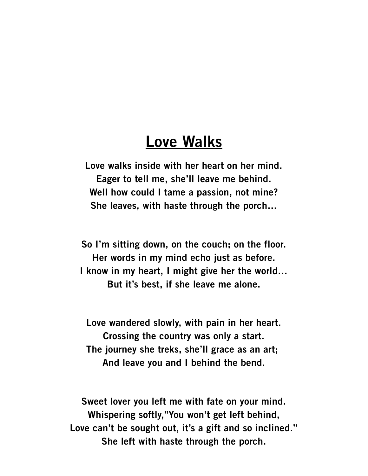#### **Love Walks**

**Love walks inside with her heart on her mind. Eager to tell me, she'll leave me behind. Well how could I tame a passion, not mine? She leaves, with haste through the porch…**

**So I'm sitting down, on the couch; on the floor. Her words in my mind echo just as before. I know in my heart, I might give her the world… But it's best, if she leave me alone.**

**Love wandered slowly, with pain in her heart. Crossing the country was only a start. The journey she treks, she'll grace as an art; And leave you and I behind the bend.**

**Sweet lover you left me with fate on your mind. Whispering softly,"You won't get left behind, Love can't be sought out, it's a gift and so inclined." She left with haste through the porch.**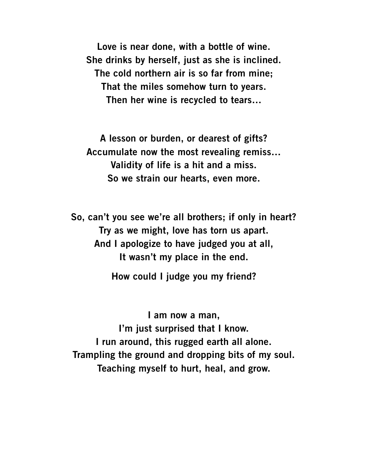**Love is near done, with a bottle of wine. She drinks by herself, just as she is inclined. The cold northern air is so far from mine; That the miles somehow turn to years. Then her wine is recycled to tears…**

**A lesson or burden, or dearest of gifts? Accumulate now the most revealing remiss… Validity of life is a hit and a miss. So we strain our hearts, even more.**

**So, can't you see we're all brothers; if only in heart? Try as we might, love has torn us apart. And I apologize to have judged you at all, It wasn't my place in the end.**

**How could I judge you my friend?**

**I am now a man, I'm just surprised that I know. I run around, this rugged earth all alone. Trampling the ground and dropping bits of my soul. Teaching myself to hurt, heal, and grow.**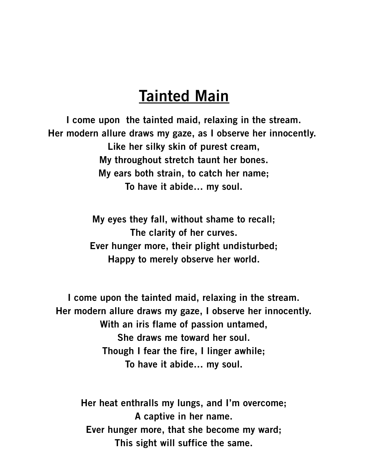### **Tainted Main**

**I come upon the tainted maid, relaxing in the stream. Her modern allure draws my gaze, as I observe her innocently. Like her silky skin of purest cream, My throughout stretch taunt her bones. My ears both strain, to catch her name; To have it abide… my soul.**

> **My eyes they fall, without shame to recall; The clarity of her curves. Ever hunger more, their plight undisturbed; Happy to merely observe her world.**

**I come upon the tainted maid, relaxing in the stream. Her modern allure draws my gaze, I observe her innocently. With an iris flame of passion untamed, She draws me toward her soul. Though I fear the fire, I linger awhile; To have it abide… my soul.**

**Her heat enthralls my lungs, and I'm overcome; A captive in her name. Ever hunger more, that she become my ward; This sight will suffice the same.**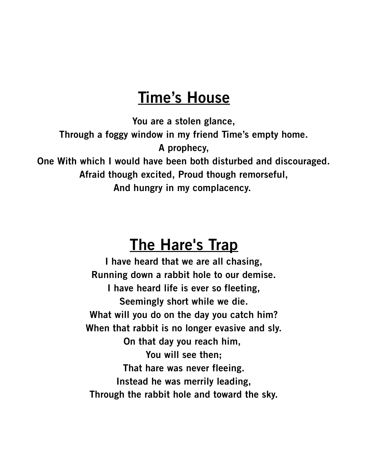## **Time's House**

**You are a stolen glance,**

**Through a foggy window in my friend Time's empty home.**

**A prophecy,**

**One With which I would have been both disturbed and discouraged.**

**Afraid though excited, Proud though remorseful,**

**And hungry in my complacency.** 

## **The Hare's Trap**

**I have heard that we are all chasing, Running down a rabbit hole to our demise. I have heard life is ever so fleeting, Seemingly short while we die. What will you do on the day you catch him? When that rabbit is no longer evasive and sly. On that day you reach him, You will see then; That hare was never fleeing. Instead he was merrily leading, Through the rabbit hole and toward the sky.**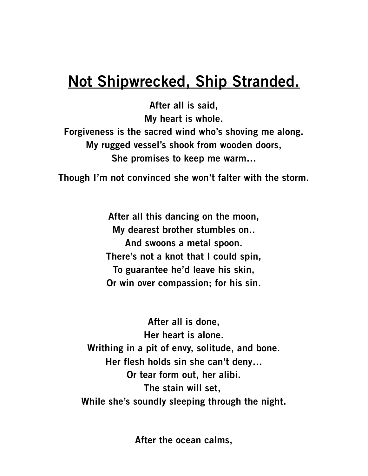## **Not Shipwrecked, Ship Stranded.**

**After all is said, My heart is whole. Forgiveness is the sacred wind who's shoving me along. My rugged vessel's shook from wooden doors, She promises to keep me warm…**

**Though I'm not convinced she won't falter with the storm.**

**After all this dancing on the moon, My dearest brother stumbles on.. And swoons a metal spoon. There's not a knot that I could spin, To guarantee he'd leave his skin, Or win over compassion; for his sin.**

**After all is done, Her heart is alone. Writhing in a pit of envy, solitude, and bone. Her flesh holds sin she can't deny… Or tear form out, her alibi. The stain will set, While she's soundly sleeping through the night.**

**After the ocean calms,**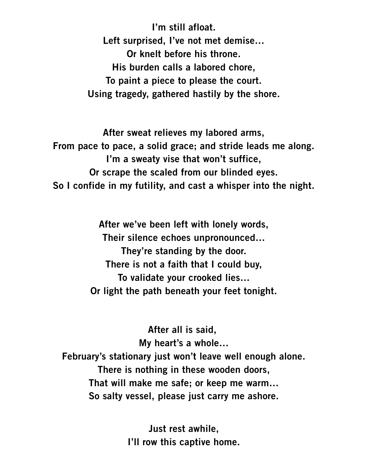**I'm still afloat. Left surprised, I've not met demise… Or knelt before his throne. His burden calls a labored chore, To paint a piece to please the court. Using tragedy, gathered hastily by the shore.**

**After sweat relieves my labored arms, From pace to pace, a solid grace; and stride leads me along. I'm a sweaty vise that won't suffice, Or scrape the scaled from our blinded eyes. So I confide in my futility, and cast a whisper into the night.**

> **After we've been left with lonely words, Their silence echoes unpronounced… They're standing by the door. There is not a faith that I could buy, To validate your crooked lies… Or light the path beneath your feet tonight.**

**After all is said, My heart's a whole… February's stationary just won't leave well enough alone. There is nothing in these wooden doors, That will make me safe; or keep me warm… So salty vessel, please just carry me ashore.**

> **Just rest awhile, I'll row this captive home.**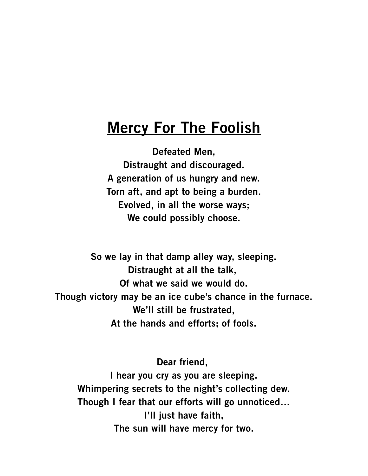## **Mercy For The Foolish**

**Defeated Men, Distraught and discouraged. A generation of us hungry and new. Torn aft, and apt to being a burden. Evolved, in all the worse ways; We could possibly choose.**

**So we lay in that damp alley way, sleeping. Distraught at all the talk, Of what we said we would do. Though victory may be an ice cube's chance in the furnace. We'll still be frustrated, At the hands and efforts; of fools.**

**Dear friend, I hear you cry as you are sleeping. Whimpering secrets to the night's collecting dew. Though I fear that our efforts will go unnoticed… I'll just have faith, The sun will have mercy for two.**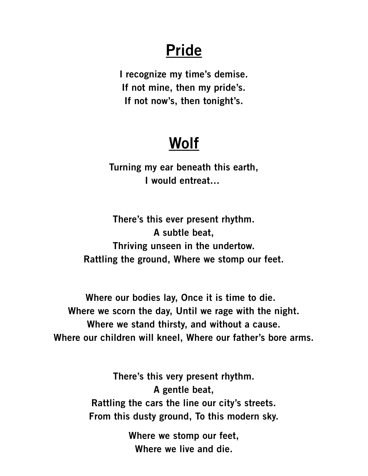## **Pride**

**I recognize my time's demise. If not mine, then my pride's. If not now's, then tonight's.**

# **Wolf**

**Turning my ear beneath this earth, I would entreat…** 

**There's this ever present rhythm. A subtle beat, Thriving unseen in the undertow. Rattling the ground, Where we stomp our feet.**

**Where our bodies lay, Once it is time to die. Where we scorn the day, Until we rage with the night. Where we stand thirsty, and without a cause. Where our children will kneel, Where our father's bore arms.**

> **There's this very present rhythm. A gentle beat, Rattling the cars the line our city's streets. From this dusty ground, To this modern sky.**

> > **Where we stomp our feet, Where we live and die.**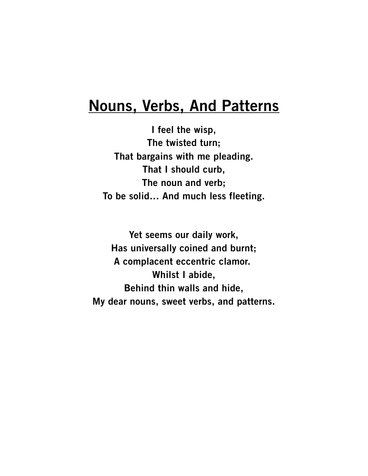#### **Nouns, Verbs, And Patterns**

**I feel the wisp, The twisted turn; That bargains with me pleading. That I should curb, The noun and verb; To be solid… And much less fleeting.**

**Yet seems our daily work, Has universally coined and burnt; A complacent eccentric clamor. Whilst I abide, Behind thin walls and hide, My dear nouns, sweet verbs, and patterns.**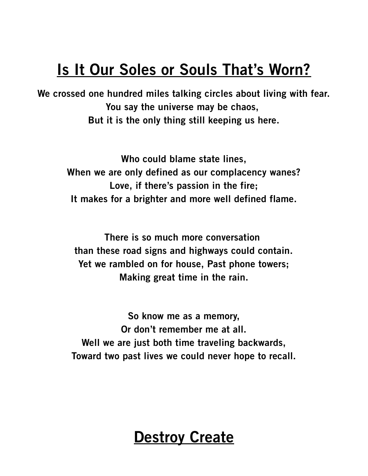## **Is It Our Soles or Souls That's Worn?**

**We crossed one hundred miles talking circles about living with fear. You say the universe may be chaos, But it is the only thing still keeping us here.**

> **Who could blame state lines, When we are only defined as our complacency wanes? Love, if there's passion in the fire; It makes for a brighter and more well defined flame.**

**There is so much more conversation than these road signs and highways could contain. Yet we rambled on for house, Past phone towers; Making great time in the rain.**

**So know me as a memory, Or don't remember me at all. Well we are just both time traveling backwards, Toward two past lives we could never hope to recall.**

## **Destroy Create**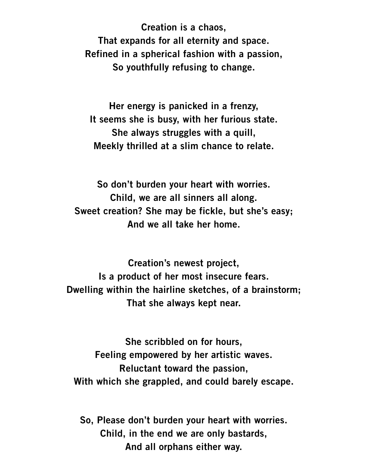**Creation is a chaos, That expands for all eternity and space. Refined in a spherical fashion with a passion, So youthfully refusing to change.**

**Her energy is panicked in a frenzy, It seems she is busy, with her furious state. She always struggles with a quill, Meekly thrilled at a slim chance to relate.**

**So don't burden your heart with worries. Child, we are all sinners all along. Sweet creation? She may be fickle, but she's easy; And we all take her home.**

**Creation's newest project, Is a product of her most insecure fears. Dwelling within the hairline sketches, of a brainstorm; That she always kept near.**

**She scribbled on for hours, Feeling empowered by her artistic waves. Reluctant toward the passion, With which she grappled, and could barely escape.**

**So, Please don't burden your heart with worries. Child, in the end we are only bastards, And all orphans either way.**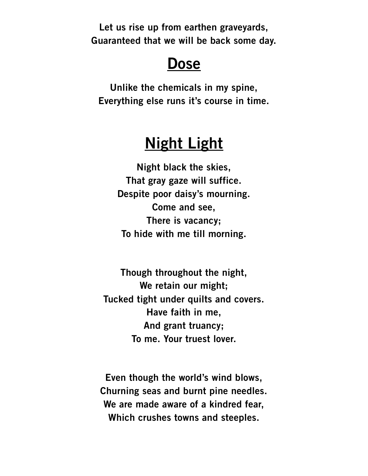**Let us rise up from earthen graveyards, Guaranteed that we will be back some day.**

#### **Dose**

**Unlike the chemicals in my spine, Everything else runs it's course in time.**

## **Night Light**

**Night black the skies, That gray gaze will suffice. Despite poor daisy's mourning. Come and see, There is vacancy; To hide with me till morning.**

**Though throughout the night, We retain our might; Tucked tight under quilts and covers. Have faith in me, And grant truancy; To me. Your truest lover.**

**Even though the world's wind blows, Churning seas and burnt pine needles. We are made aware of a kindred fear, Which crushes towns and steeples.**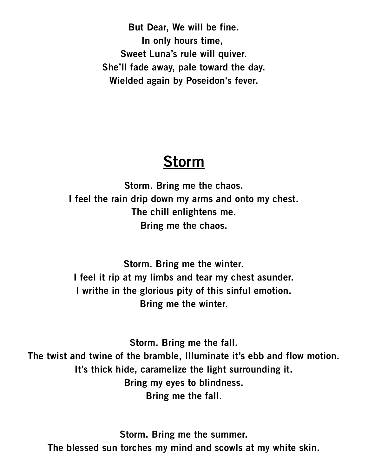**But Dear, We will be fine. In only hours time, Sweet Luna's rule will quiver. She'll fade away, pale toward the day. Wielded again by Poseidon's fever.**

#### **Storm**

**Storm. Bring me the chaos. I feel the rain drip down my arms and onto my chest. The chill enlightens me. Bring me the chaos.**

**Storm. Bring me the winter. I feel it rip at my limbs and tear my chest asunder. I writhe in the glorious pity of this sinful emotion. Bring me the winter.**

**Storm. Bring me the fall. The twist and twine of the bramble, Illuminate it's ebb and flow motion. It's thick hide, caramelize the light surrounding it. Bring my eyes to blindness. Bring me the fall.**

**Storm. Bring me the summer. The blessed sun torches my mind and scowls at my white skin.**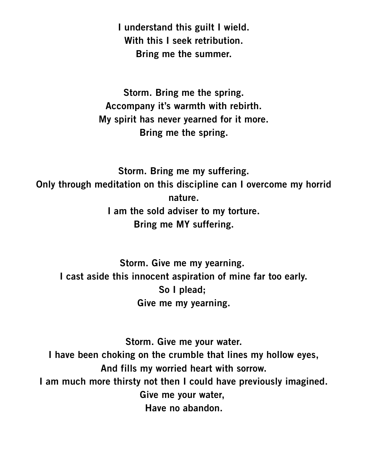**I understand this guilt I wield. With this I seek retribution. Bring me the summer.**

**Storm. Bring me the spring. Accompany it's warmth with rebirth. My spirit has never yearned for it more. Bring me the spring.**

**Storm. Bring me my suffering. Only through meditation on this discipline can I overcome my horrid nature. I am the sold adviser to my torture. Bring me MY suffering.**

**Storm. Give me my yearning. I cast aside this innocent aspiration of mine far too early. So I plead; Give me my yearning.**

**Storm. Give me your water. I have been choking on the crumble that lines my hollow eyes, And fills my worried heart with sorrow. I am much more thirsty not then I could have previously imagined. Give me your water, Have no abandon.**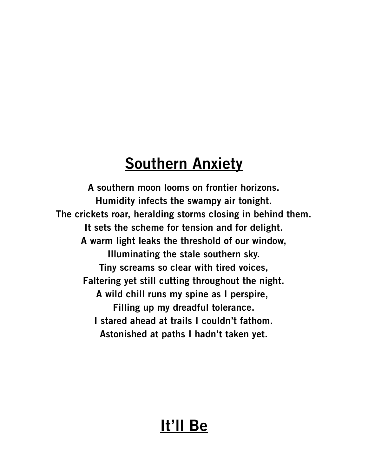## **Southern Anxiety**

**A southern moon looms on frontier horizons. Humidity infects the swampy air tonight. The crickets roar, heralding storms closing in behind them. It sets the scheme for tension and for delight. A warm light leaks the threshold of our window, Illuminating the stale southern sky. Tiny screams so clear with tired voices, Faltering yet still cutting throughout the night. A wild chill runs my spine as I perspire, Filling up my dreadful tolerance. I stared ahead at trails I couldn't fathom. Astonished at paths I hadn't taken yet.**

## **It'll Be**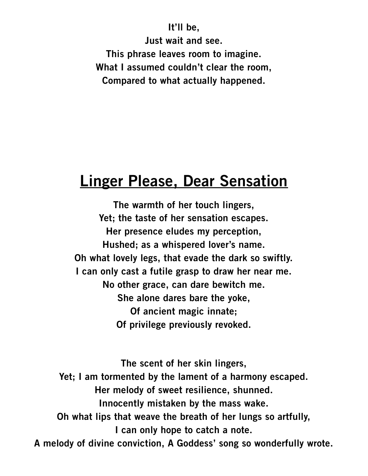**It'll be, Just wait and see. This phrase leaves room to imagine. What I assumed couldn't clear the room, Compared to what actually happened.**

#### **Linger Please, Dear Sensation**

**The warmth of her touch lingers, Yet; the taste of her sensation escapes. Her presence eludes my perception, Hushed; as a whispered lover's name. Oh what lovely legs, that evade the dark so swiftly. I can only cast a futile grasp to draw her near me. No other grace, can dare bewitch me. She alone dares bare the yoke, Of ancient magic innate; Of privilege previously revoked.**

**The scent of her skin lingers, Yet; I am tormented by the lament of a harmony escaped. Her melody of sweet resilience, shunned. Innocently mistaken by the mass wake. Oh what lips that weave the breath of her lungs so artfully, I can only hope to catch a note. A melody of divine conviction, A Goddess' song so wonderfully wrote.**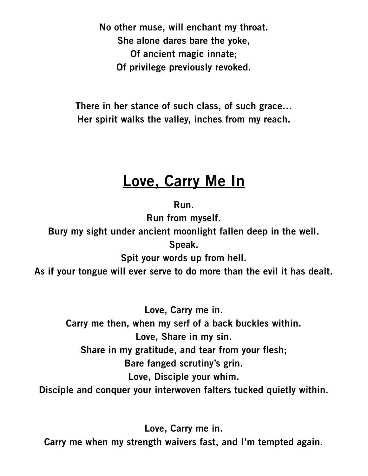**No other muse, will enchant my throat. She alone dares bare the yoke, Of ancient magic innate; Of privilege previously revoked.**

**There in her stance of such class, of such grace… Her spirit walks the valley, inches from my reach.**

## **Love, Carry Me In**

**Run.**

**Run from myself.**

**Bury my sight under ancient moonlight fallen deep in the well. Speak.**

**Spit your words up from hell.**

**As if your tongue will ever serve to do more than the evil it has dealt.**

**Love, Carry me in. Carry me then, when my serf of a back buckles within. Love, Share in my sin. Share in my gratitude, and tear from your flesh; Bare fanged scrutiny's grin. Love, Disciple your whim. Disciple and conquer your interwoven falters tucked quietly within.**

**Love, Carry me in. Carry me when my strength waivers fast, and I'm tempted again.**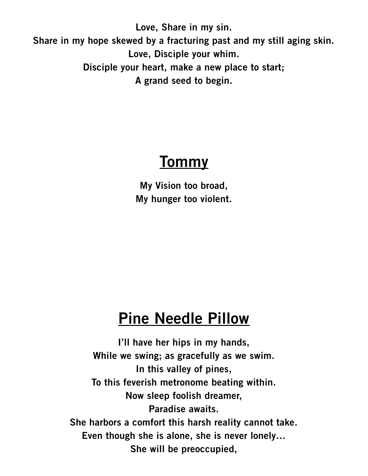**Love, Share in my sin. Share in my hope skewed by a fracturing past and my still aging skin. Love, Disciple your whim. Disciple your heart, make a new place to start; A grand seed to begin.**

## **Tommy**

**My Vision too broad, My hunger too violent.**

## **Pine Needle Pillow**

**I'll have her hips in my hands, While we swing; as gracefully as we swim. In this valley of pines, To this feverish metronome beating within. Now sleep foolish dreamer, Paradise awaits. She harbors a comfort this harsh reality cannot take. Even though she is alone, she is never lonely… She will be preoccupied,**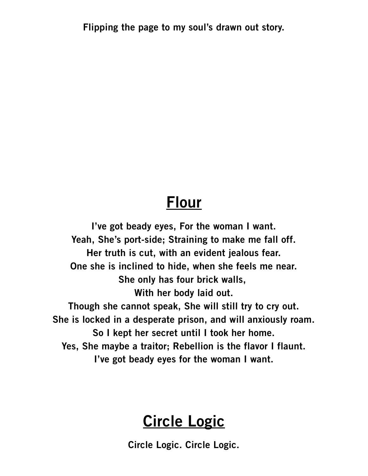**Flipping the page to my soul's drawn out story.**

#### **Flour**

**I've got beady eyes, For the woman I want. Yeah, She's port-side; Straining to make me fall off. Her truth is cut, with an evident jealous fear. One she is inclined to hide, when she feels me near. She only has four brick walls, With her body laid out. Though she cannot speak, She will still try to cry out. She is locked in a desperate prison, and will anxiously roam. So I kept her secret until I took her home. Yes, She maybe a traitor; Rebellion is the flavor I flaunt. I've got beady eyes for the woman I want.**

## **Circle Logic**

**Circle Logic. Circle Logic.**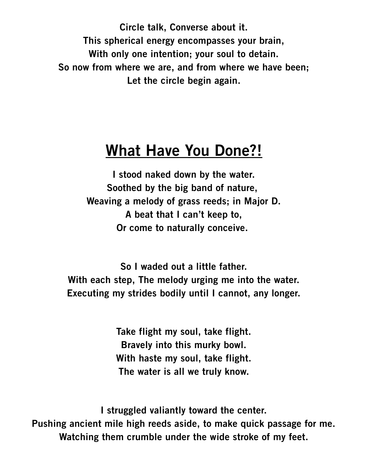**Circle talk, Converse about it. This spherical energy encompasses your brain, With only one intention; your soul to detain. So now from where we are, and from where we have been; Let the circle begin again.**

#### **What Have You Done?!**

**I stood naked down by the water. Soothed by the big band of nature, Weaving a melody of grass reeds; in Major D. A beat that I can't keep to, Or come to naturally conceive.** 

**So I waded out a little father. With each step, The melody urging me into the water. Executing my strides bodily until I cannot, any longer.**

> **Take flight my soul, take flight. Bravely into this murky bowl. With haste my soul, take flight. The water is all we truly know.**

**I struggled valiantly toward the center. Pushing ancient mile high reeds aside, to make quick passage for me. Watching them crumble under the wide stroke of my feet.**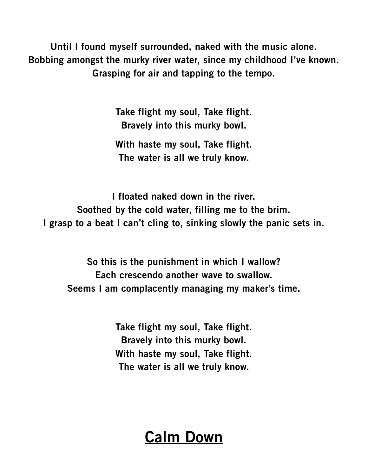**Until I found myself surrounded, naked with the music alone. Bobbing amongst the murky river water, since my childhood I've known. Grasping for air and tapping to the tempo.**

> **Take flight my soul, Take flight. Bravely into this murky bowl.**

> **With haste my soul, Take flight. The water is all we truly know.**

**I floated naked down in the river. Soothed by the cold water, filling me to the brim. I grasp to a beat I can't cling to, sinking slowly the panic sets in.**

**So this is the punishment in which I wallow? Each crescendo another wave to swallow. Seems I am complacently managing my maker's time.**

> **Take flight my soul, Take flight. Bravely into this murky bowl. With haste my soul, Take flight. The water is all we truly know.**

## **Calm Down**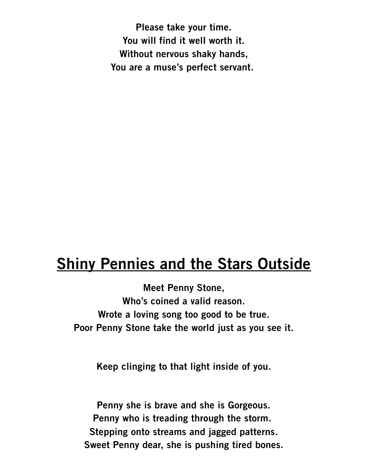**Please take your time. You will find it well worth it. Without nervous shaky hands, You are a muse's perfect servant.** 

#### **Shiny Pennies and the Stars Outside**

**Meet Penny Stone, Who's coined a valid reason. Wrote a loving song too good to be true. Poor Penny Stone take the world just as you see it.**

**Keep clinging to that light inside of you.**

**Penny she is brave and she is Gorgeous. Penny who is treading through the storm. Stepping onto streams and jagged patterns. Sweet Penny dear, she is pushing tired bones.**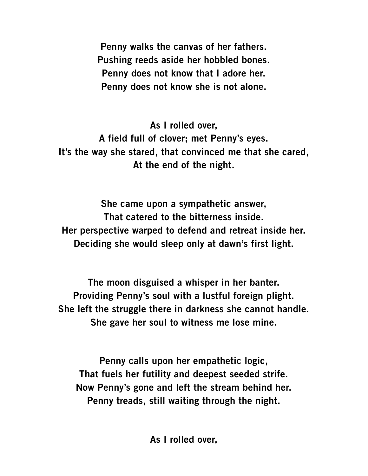**Penny walks the canvas of her fathers. Pushing reeds aside her hobbled bones. Penny does not know that I adore her. Penny does not know she is not alone.**

**As I rolled over, A field full of clover; met Penny's eyes. It's the way she stared, that convinced me that she cared, At the end of the night.**

**She came upon a sympathetic answer, That catered to the bitterness inside. Her perspective warped to defend and retreat inside her. Deciding she would sleep only at dawn's first light.**

**The moon disguised a whisper in her banter. Providing Penny's soul with a lustful foreign plight. She left the struggle there in darkness she cannot handle. She gave her soul to witness me lose mine.**

**Penny calls upon her empathetic logic, That fuels her futility and deepest seeded strife. Now Penny's gone and left the stream behind her. Penny treads, still waiting through the night.**

**As I rolled over,**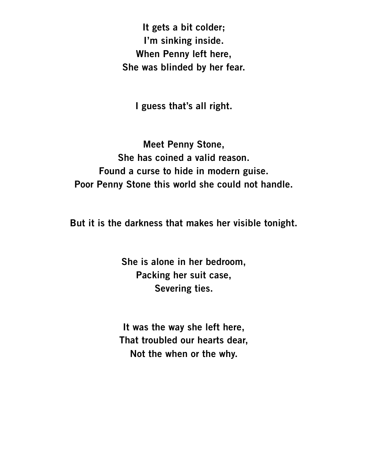**It gets a bit colder; I'm sinking inside. When Penny left here, She was blinded by her fear.**

**I guess that's all right.**

**Meet Penny Stone, She has coined a valid reason. Found a curse to hide in modern guise. Poor Penny Stone this world she could not handle.**

**But it is the darkness that makes her visible tonight.**

**She is alone in her bedroom, Packing her suit case, Severing ties.**

**It was the way she left here, That troubled our hearts dear, Not the when or the why.**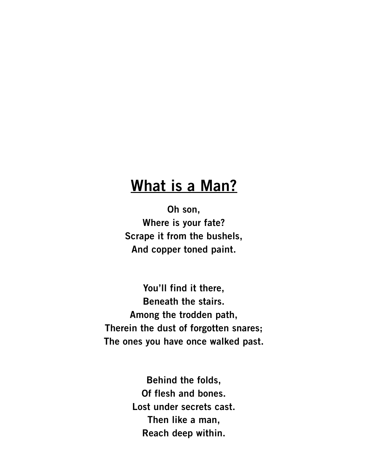#### **What is a Man?**

**Oh son, Where is your fate? Scrape it from the bushels, And copper toned paint.**

**You'll find it there, Beneath the stairs. Among the trodden path, Therein the dust of forgotten snares; The ones you have once walked past.**

> **Behind the folds, Of flesh and bones. Lost under secrets cast. Then like a man, Reach deep within.**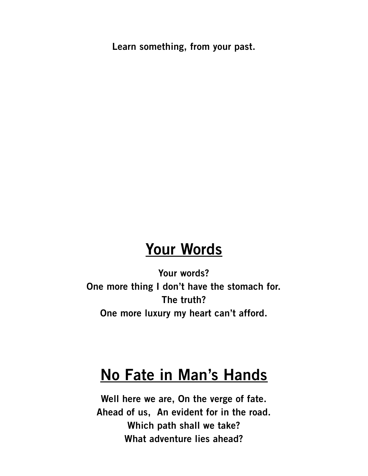**Learn something, from your past.**

## **Your Words**

**Your words? One more thing I don't have the stomach for. The truth? One more luxury my heart can't afford.**

## **No Fate in Man's Hands**

**Well here we are, On the verge of fate. Ahead of us, An evident for in the road. Which path shall we take? What adventure lies ahead?**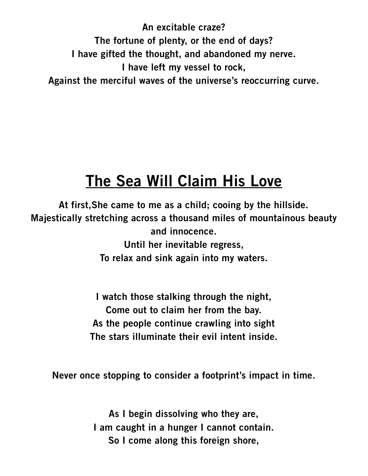**An excitable craze? The fortune of plenty, or the end of days? I have gifted the thought, and abandoned my nerve. I have left my vessel to rock, Against the merciful waves of the universe's reoccurring curve.**

## **The Sea Will Claim His Love**

**At first,She came to me as a child; cooing by the hillside. Majestically stretching across a thousand miles of mountainous beauty and innocence. Until her inevitable regress, To relax and sink again into my waters.**

> **I watch those stalking through the night, Come out to claim her from the bay. As the people continue crawling into sight The stars illuminate their evil intent inside.**

**Never once stopping to consider a footprint's impact in time.**

**As I begin dissolving who they are, I am caught in a hunger I cannot contain. So I come along this foreign shore,**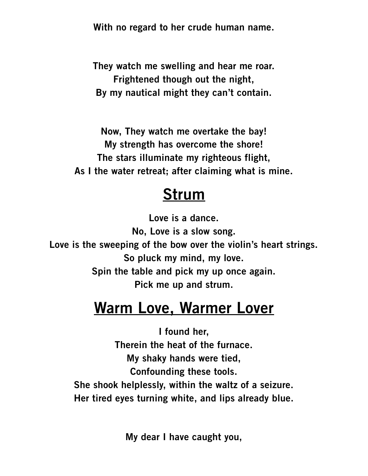**With no regard to her crude human name.**

**They watch me swelling and hear me roar. Frightened though out the night, By my nautical might they can't contain.**

**Now, They watch me overtake the bay! My strength has overcome the shore! The stars illuminate my righteous flight, As I the water retreat; after claiming what is mine.**

#### **Strum**

**Love is a dance. No, Love is a slow song. Love is the sweeping of the bow over the violin's heart strings. So pluck my mind, my love. Spin the table and pick my up once again. Pick me up and strum.**

## **Warm Love, Warmer Lover**

**I found her, Therein the heat of the furnace. My shaky hands were tied, Confounding these tools. She shook helplessly, within the waltz of a seizure. Her tired eyes turning white, and lips already blue.**

**My dear I have caught you,**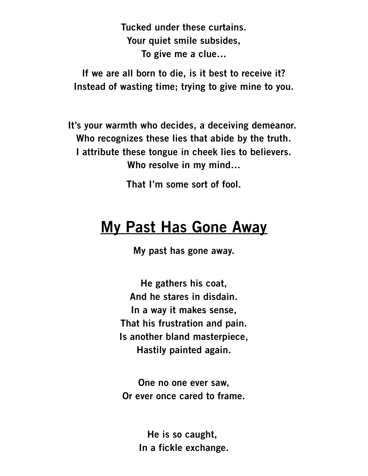**Tucked under these curtains. Your quiet smile subsides, To give me a clue…**

**If we are all born to die, is it best to receive it? Instead of wasting time; trying to give mine to you.**

**It's your warmth who decides, a deceiving demeanor. Who recognizes these lies that abide by the truth. I attribute these tongue in cheek lies to believers. Who resolve in my mind…**

**That I'm some sort of fool.**

#### **My Past Has Gone Away**

**My past has gone away.**

**He gathers his coat, And he stares in disdain. In a way it makes sense, That his frustration and pain. Is another bland masterpiece, Hastily painted again.**

**One no one ever saw, Or ever once cared to frame.**

> **He is so caught, In a fickle exchange.**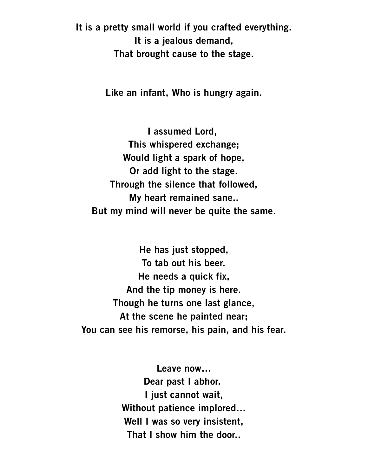**It is a pretty small world if you crafted everything. It is a jealous demand, That brought cause to the stage.**

**Like an infant, Who is hungry again.**

**I assumed Lord, This whispered exchange; Would light a spark of hope, Or add light to the stage. Through the silence that followed, My heart remained sane.. But my mind will never be quite the same.**

**He has just stopped, To tab out his beer. He needs a quick fix, And the tip money is here. Though he turns one last glance, At the scene he painted near; You can see his remorse, his pain, and his fear.**

> **Leave now… Dear past I abhor. I just cannot wait, Without patience implored… Well I was so very insistent, That I show him the door..**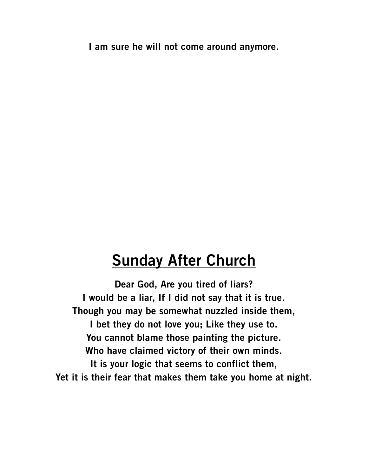**I am sure he will not come around anymore.**

#### **Sunday After Church**

**Dear God, Are you tired of liars? I would be a liar, If I did not say that it is true. Though you may be somewhat nuzzled inside them, I bet they do not love you; Like they use to. You cannot blame those painting the picture. Who have claimed victory of their own minds. It is your logic that seems to conflict them, Yet it is their fear that makes them take you home at night.**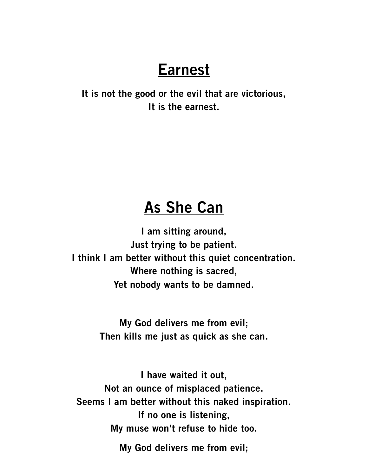## **Earnest**

**It is not the good or the evil that are victorious, It is the earnest.**

#### **As She Can**

**I am sitting around, Just trying to be patient. I think I am better without this quiet concentration. Where nothing is sacred, Yet nobody wants to be damned.**

> **My God delivers me from evil; Then kills me just as quick as she can.**

**I have waited it out, Not an ounce of misplaced patience. Seems I am better without this naked inspiration. If no one is listening, My muse won't refuse to hide too.**

**My God delivers me from evil;**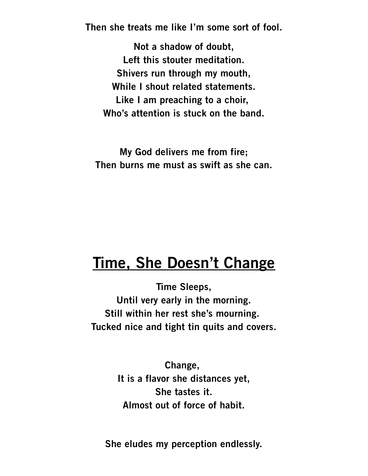**Then she treats me like I'm some sort of fool.**

**Not a shadow of doubt, Left this stouter meditation. Shivers run through my mouth, While I shout related statements. Like I am preaching to a choir, Who's attention is stuck on the band.**

**My God delivers me from fire; Then burns me must as swift as she can.**

#### **Time, She Doesn't Change**

**Time Sleeps, Until very early in the morning. Still within her rest she's mourning. Tucked nice and tight tin quits and covers.**

> **Change, It is a flavor she distances yet, She tastes it. Almost out of force of habit.**

**She eludes my perception endlessly.**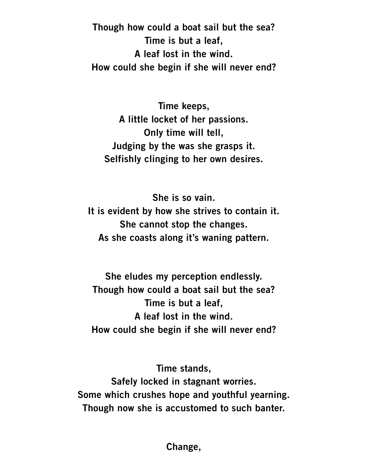**Though how could a boat sail but the sea? Time is but a leaf, A leaf lost in the wind. How could she begin if she will never end?**

**Time keeps, A little locket of her passions. Only time will tell, Judging by the was she grasps it. Selfishly clinging to her own desires.**

**She is so vain. It is evident by how she strives to contain it. She cannot stop the changes. As she coasts along it's waning pattern.**

**She eludes my perception endlessly. Though how could a boat sail but the sea? Time is but a leaf, A leaf lost in the wind. How could she begin if she will never end?**

**Time stands, Safely locked in stagnant worries. Some which crushes hope and youthful yearning. Though now she is accustomed to such banter.**

**Change,**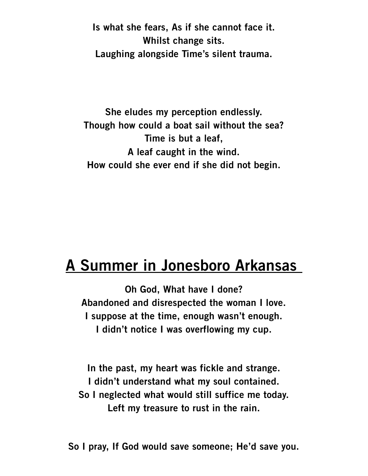**Is what she fears, As if she cannot face it. Whilst change sits. Laughing alongside Time's silent trauma.**

**She eludes my perception endlessly. Though how could a boat sail without the sea? Time is but a leaf, A leaf caught in the wind. How could she ever end if she did not begin.**

### **A Summer in Jonesboro Arkansas**

**Oh God, What have I done? Abandoned and disrespected the woman I love. I suppose at the time, enough wasn't enough. I didn't notice I was overflowing my cup.**

**In the past, my heart was fickle and strange. I didn't understand what my soul contained. So I neglected what would still suffice me today. Left my treasure to rust in the rain.**

**So I pray, If God would save someone; He'd save you.**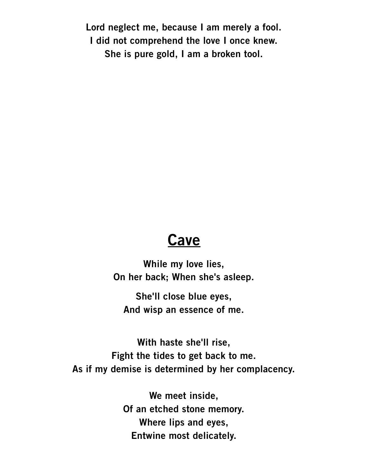**Lord neglect me, because I am merely a fool. I did not comprehend the love I once knew. She is pure gold, I am a broken tool.**

#### **Cave**

**While my love lies, On her back; When she's asleep.**

**She'll close blue eyes, And wisp an essence of me.**

**With haste she'll rise, Fight the tides to get back to me. As if my demise is determined by her complacency.**

> **We meet inside, Of an etched stone memory. Where lips and eyes, Entwine most delicately.**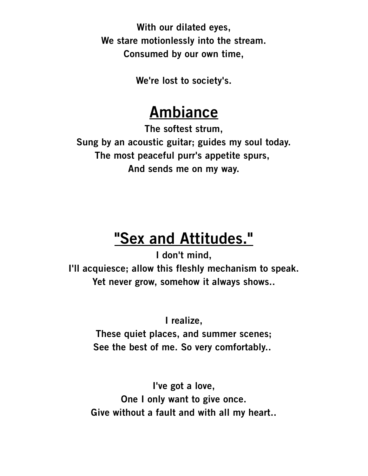**With our dilated eyes, We stare motionlessly into the stream. Consumed by our own time,**

**We're lost to society's.**

## **Ambiance**

**The softest strum, Sung by an acoustic guitar; guides my soul today. The most peaceful purr's appetite spurs, And sends me on my way.**

## **"Sex and Attitudes."**

**I don't mind,**

**I'll acquiesce; allow this fleshly mechanism to speak. Yet never grow, somehow it always shows..**

**I realize,**

**These quiet places, and summer scenes; See the best of me. So very comfortably..** 

**I've got a love, One I only want to give once. Give without a fault and with all my heart..**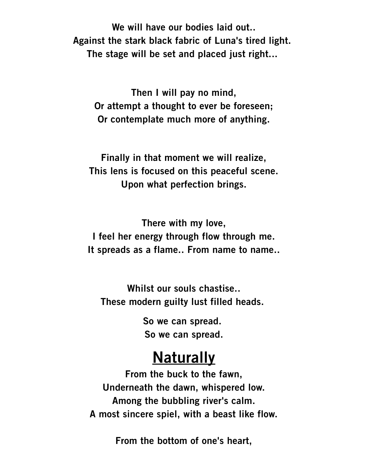**We will have our bodies laid out.. Against the stark black fabric of Luna's tired light. The stage will be set and placed just right...** 

**Then I will pay no mind, Or attempt a thought to ever be foreseen; Or contemplate much more of anything.**

**Finally in that moment we will realize, This lens is focused on this peaceful scene. Upon what perfection brings.**

**There with my love, I feel her energy through flow through me. It spreads as a flame.. From name to name..**

**Whilst our souls chastise.. These modern guilty lust filled heads.** 

> **So we can spread. So we can spread.**

#### **Naturally**

**From the buck to the fawn, Underneath the dawn, whispered low. Among the bubbling river's calm. A most sincere spiel, with a beast like flow.**

**From the bottom of one's heart,**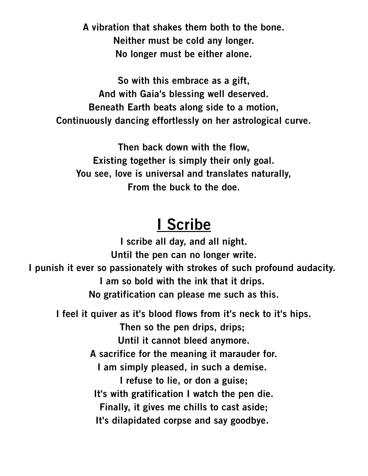**A vibration that shakes them both to the bone. Neither must be cold any longer. No longer must be either alone.**

**So with this embrace as a gift, And with Gaia's blessing well deserved. Beneath Earth beats along side to a motion, Continuously dancing effortlessly on her astrological curve.**

**Then back down with the flow, Existing together is simply their only goal. You see, love is universal and translates naturally, From the buck to the doe.**

#### **I Scribe**

**I scribe all day, and all night. Until the pen can no longer write. I punish it ever so passionately with strokes of such profound audacity. I am so bold with the ink that it drips. No gratification can please me such as this. I feel it quiver as it's blood flows from it's neck to it's hips. Then so the pen drips, drips; Until it cannot bleed anymore. A sacrifice for the meaning it marauder for. I am simply pleased, in such a demise. I refuse to lie, or don a guise; It's with gratification I watch the pen die. Finally, it gives me chills to cast aside; It's dilapidated corpse and say goodbye.**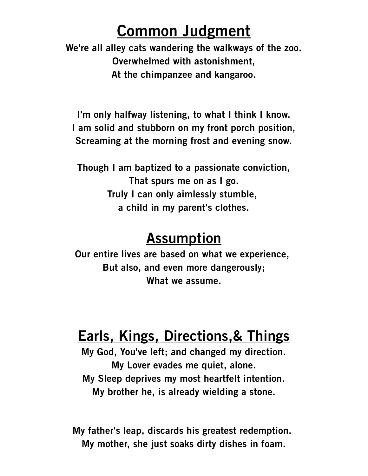## **Common Judgment**

**We're all alley cats wandering the walkways of the zoo. Overwhelmed with astonishment, At the chimpanzee and kangaroo.**

**I'm only halfway listening, to what I think I know. I am solid and stubborn on my front porch position, Screaming at the morning frost and evening snow.**

**Though I am baptized to a passionate conviction, That spurs me on as I go. Truly I can only aimlessly stumble, a child in my parent's clothes.**

#### **Assumption**

**Our entire lives are based on what we experience, But also, and even more dangerously; What we assume.**

## **Earls, Kings, Directions,& Things**

**My God, You've left; and changed my direction. My Lover evades me quiet, alone. My Sleep deprives my most heartfelt intention. My brother he, is already wielding a stone.**

**My father's leap, discards his greatest redemption. My mother, she just soaks dirty dishes in foam.**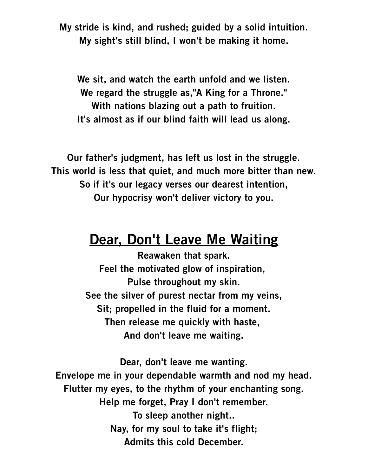**My stride is kind, and rushed; guided by a solid intuition. My sight's still blind, I won't be making it home.**

**We sit, and watch the earth unfold and we listen. We regard the struggle as,"A King for a Throne." With nations blazing out a path to fruition. It's almost as if our blind faith will lead us along.**

**Our father's judgment, has left us lost in the struggle. This world is less that quiet, and much more bitter than new. So if it's our legacy verses our dearest intention, Our hypocrisy won't deliver victory to you.**

#### **Dear, Don't Leave Me Waiting**

**Reawaken that spark. Feel the motivated glow of inspiration, Pulse throughout my skin. See the silver of purest nectar from my veins, Sit; propelled in the fluid for a moment. Then release me quickly with haste, And don't leave me waiting.**

**Dear, don't leave me wanting. Envelope me in your dependable warmth and nod my head. Flutter my eyes, to the rhythm of your enchanting song. Help me forget, Pray I don't remember. To sleep another night.. Nay, for my soul to take it's flight; Admits this cold December.**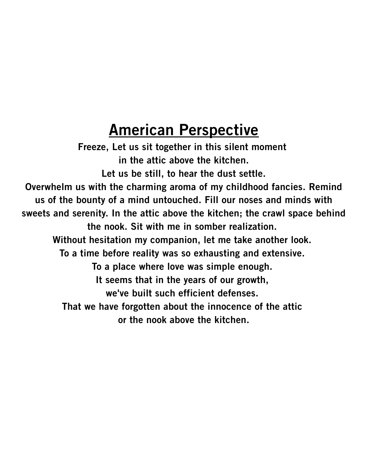## **American Perspective**

**Freeze, Let us sit together in this silent moment in the attic above the kitchen. Let us be still, to hear the dust settle. Overwhelm us with the charming aroma of my childhood fancies. Remind us of the bounty of a mind untouched. Fill our noses and minds with sweets and serenity. In the attic above the kitchen; the crawl space behind the nook. Sit with me in somber realization. Without hesitation my companion, let me take another look. To a time before reality was so exhausting and extensive. To a place where love was simple enough. It seems that in the years of our growth, we've built such efficient defenses. That we have forgotten about the innocence of the attic or the nook above the kitchen.**